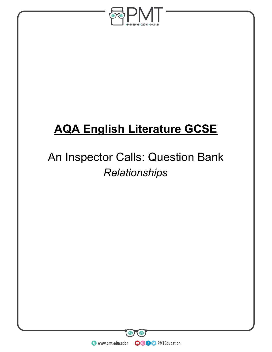

# **AQA English Literature GCSE**

# An Inspector Calls: Question Bank *Relationships*

**WWW.pmt.education** 

**OOOO** PMTEducation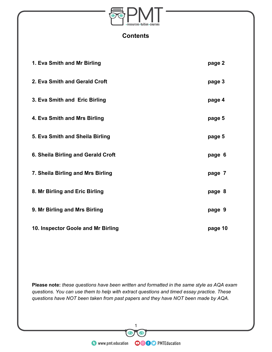

#### **Contents**

| 1. Eva Smith and Mr Birling        | page 2  |
|------------------------------------|---------|
| 2. Eva Smith and Gerald Croft      | page 3  |
| 3. Eva Smith and Eric Birling      | page 4  |
| 4. Eva Smith and Mrs Birling       | page 5  |
| 5. Eva Smith and Sheila Birling    | page 5  |
| 6. Sheila Birling and Gerald Croft | page 6  |
| 7. Sheila Birling and Mrs Birling  | page 7  |
| 8. Mr Birling and Eric Birling     | page 8  |
| 9. Mr Birling and Mrs Birling      | page 9  |
| 10. Inspector Goole and Mr Birling | page 10 |

**Please note:** *these questions have been written and formatted in the same style as AQA exam questions. You can use them to help with extract questions and timed essay practice. These questions have NOT been taken from past papers and they have NOT been made by AQA.*

 $\mathbf \Omega$ 

THE SERVICE OF THE SERVICE OF THE SERVICE OF THE SERVICE OF THE SERVICE OF THE SERVICE OF THE SERVICE OF THE SERVICE OF THE SERVICE OF THE SERVICE OF THE SERVICE OF THE SERVICE OF THE SERVICE OF THE SERVICE OF THE SERVICE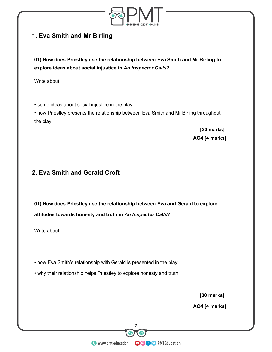

# **1. Eva Smith and Mr Birling**

**01) How does Priestley use the relationship between Eva Smith and Mr Birling to explore ideas about social injustice in** *An Inspector Calls***?**

Write about:

• some ideas about social injustice in the play

• how Priestley presents the relationship between Eva Smith and Mr Birling throughout the play

> **[30 marks] AO4 [4 marks]**

# **2. Eva Smith and Gerald Croft**

**01) How does Priestley use the relationship between Eva and Gerald to explore attitudes towards honesty and truth in** *An Inspector Calls***?**

Write about:

• how Eva Smith's relationship with Gerald is presented in the play

• why their relationship helps Priestley to explore honesty and truth

 **[30 marks]**

**AO4 [4 marks]**

and a series of the Control of the Control of the Series of the Westerlands of the Westerlands of the Westerlands of the Westerlands of the Westerlands of the Westerlands of the Westerlands of the Control of the Control of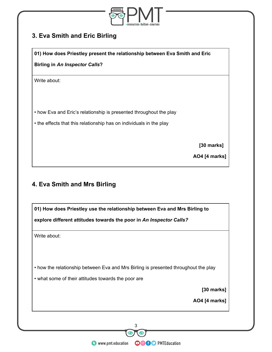

# **3. Eva Smith and Eric Birling**

**01) How does Priestley present the relationship between Eva Smith and Eric**

**Birling in** *An Inspector Calls***?**

Write about:

• how Eva and Eric's relationship is presented throughout the play

• the effects that this relationship has on individuals in the play

 **[30 marks]**

**AO4 [4 marks]**

#### **4. Eva Smith and Mrs Birling**

**01) How does Priestley use the relationship between Eva and Mrs Birling to explore different attitudes towards the poor in** *An Inspector Calls?* Write about: • how the relationship between Eva and Mrs Birling is presented throughout the play • what some of their attitudes towards the poor are  **[30 marks] AO4 [4 marks]** www.pmt.education <sup>3</sup>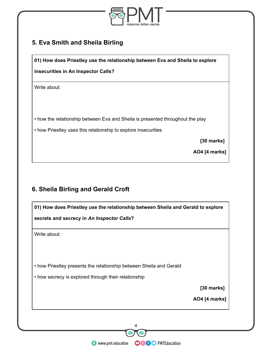

# **5. Eva Smith and Sheila Birling**

**01) How does Priestley use the relationship between Eva and Sheila to explore**

**insecurities in An Inspector Calls?**

Write about:

- how the relationship between Eva and Sheila is presented throughout the play
- how Priestley uses this relationship to explore insecurities

 **[30 marks]**

**AO4 [4 marks]**

# **6. Sheila Birling and Gerald Croft**

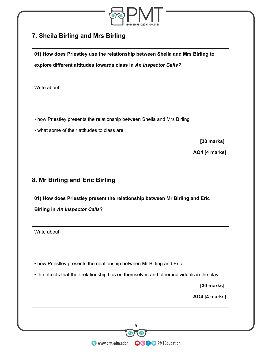

# **7. Sheila Birling and Mrs Birling**

**01) How does Priestley use the relationship between Sheila and Mrs Birling to**

**explore different attitudes towards class in** *An Inspector Calls?*

Write about:

• how Priestley presents the relationship between Sheila and Mrs Birling

• what some of their attitudes to class are

 **[30 marks]**

**AO4 [4 marks]**

# **8. Mr Birling and Eric Birling**

| 01) How does Priestley present the relationship between Mr Birling and Eric               |  |
|-------------------------------------------------------------------------------------------|--|
| <b>Birling in An Inspector Calls?</b>                                                     |  |
|                                                                                           |  |
| Write about:                                                                              |  |
|                                                                                           |  |
|                                                                                           |  |
| • how Priestley presents the relationship between Mr Birling and Eric                     |  |
| • the effects that their relationship has on themselves and other individuals in the play |  |
| [30 marks]                                                                                |  |
| <b>AO4</b> [4 marks]                                                                      |  |
|                                                                                           |  |
|                                                                                           |  |
| 5                                                                                         |  |

**O** www.pmt.education **COOO D** PMTEducation